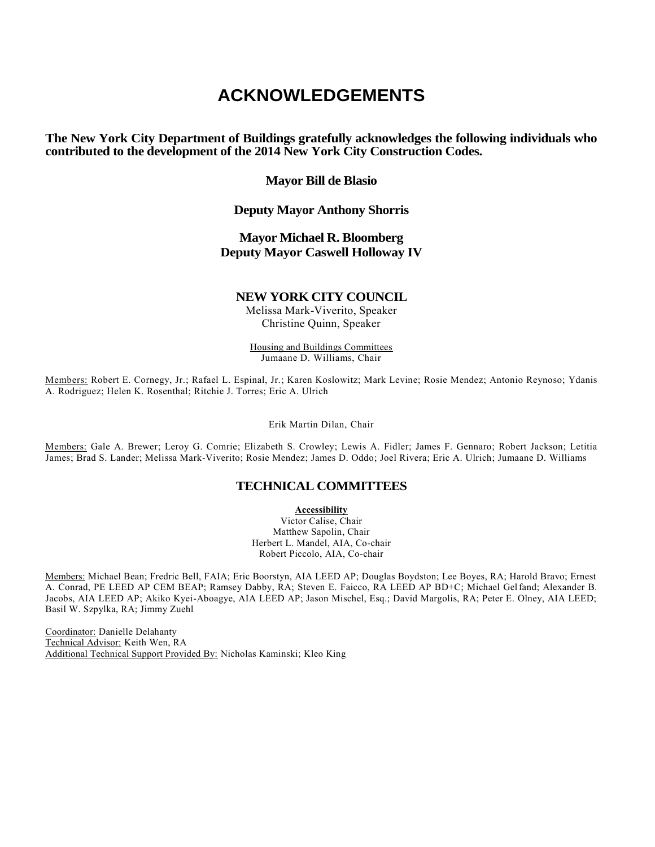# **ACKNOWLEDGEMENTS**

**The New York City Department of Buildings gratefully acknowledges the following individuals who contributed to the development of the 2014 New York City Construction Codes.**

## **Mayor Bill de Blasio**

# **Deputy Mayor Anthony Shorris**

# **Mayor Michael R. Bloomberg Deputy Mayor Caswell Holloway IV**

### **NEW YORK CITY COUNCIL**

Melissa Mark-Viverito, Speaker Christine Quinn, Speaker

Housing and Buildings Committees Jumaane D. Williams, Chair

Members: Robert E. Cornegy, Jr.; Rafael L. Espinal, Jr.; Karen Koslowitz; Mark Levine; Rosie Mendez; Antonio Reynoso; Ydanis A. Rodriguez; Helen K. Rosenthal; Ritchie J. Torres; Eric A. Ulrich

Erik Martin Dilan, Chair

Members: Gale A. Brewer; Leroy G. Comrie; Elizabeth S. Crowley; Lewis A. Fidler; James F. Gennaro; Robert Jackson; Letitia James; Brad S. Lander; Melissa Mark-Viverito; Rosie Mendez; James D. Oddo; Joel Rivera; Eric A. Ulrich; Jumaane D. Williams

# **TECHNICAL COMMITTEES**

**Accessibility** 

Victor Calise, Chair Matthew Sapolin, Chair Herbert L. Mandel, AIA, Co-chair Robert Piccolo, AIA, Co-chair

Members: Michael Bean; Fredric Bell, FAIA; Eric Boorstyn, AIA LEED AP; Douglas Boydston; Lee Boyes, RA; Harold Bravo; Ernest A. Conrad, PE LEED AP CEM BEAP; Ramsey Dabby, RA; Steven E. Faicco, RA LEED AP BD+C; Michael Gelfand; Alexander B. Jacobs, AIA LEED AP; Akiko Kyei-Aboagye, AIA LEED AP; Jason Mischel, Esq.; David Margolis, RA; Peter E. Olney, AIA LEED; Basil W. Szpylka, RA; Jimmy Zuehl

Coordinator: Danielle Delahanty Technical Advisor: Keith Wen, RA Additional Technical Support Provided By: Nicholas Kaminski; Kleo King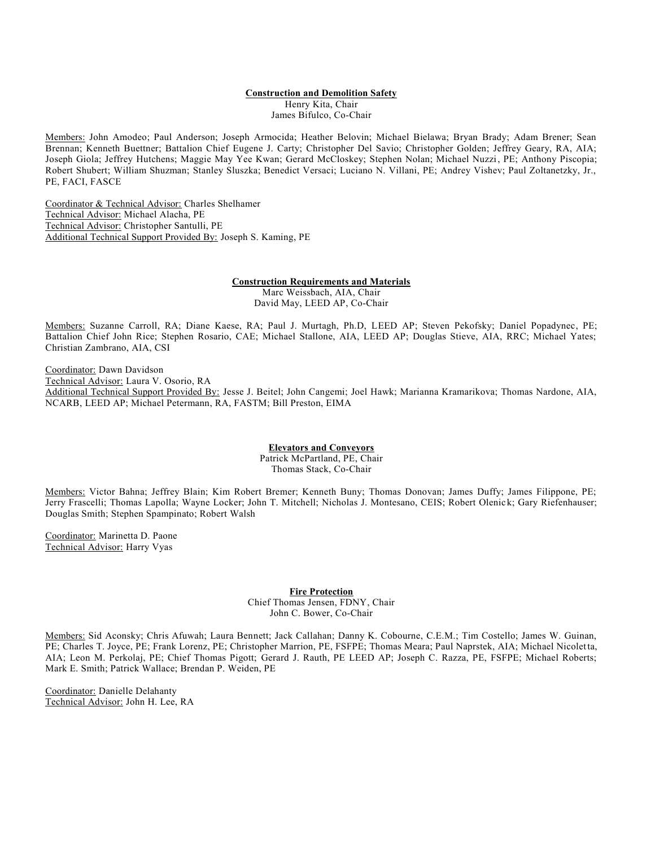#### **Construction and Demolition Safety**

Henry Kita, Chair James Bifulco, Co-Chair

Members: John Amodeo; Paul Anderson; Joseph Armocida; Heather Belovin; Michael Bielawa; Bryan Brady; Adam Brener; Sean Brennan; Kenneth Buettner; Battalion Chief Eugene J. Carty; Christopher Del Savio; Christopher Golden; Jeffrey Geary, RA, AIA; Joseph Giola; Jeffrey Hutchens; Maggie May Yee Kwan; Gerard McCloskey; Stephen Nolan; Michael Nuzzi, PE; Anthony Piscopia; Robert Shubert; William Shuzman; Stanley Sluszka; Benedict Versaci; Luciano N. Villani, PE; Andrey Vishev; Paul Zoltanetzky, Jr., PE, FACI, FASCE

Coordinator & Technical Advisor: Charles Shelhamer Technical Advisor: Michael Alacha, PE Technical Advisor: Christopher Santulli, PE Additional Technical Support Provided By: Joseph S. Kaming, PE

> **Construction Requirements and Materials** Marc Weissbach, AIA, Chair David May, LEED AP, Co-Chair

Members: Suzanne Carroll, RA; Diane Kaese, RA; Paul J. Murtagh, Ph.D, LEED AP; Steven Pekofsky; Daniel Popadynec, PE; Battalion Chief John Rice; Stephen Rosario, CAE; Michael Stallone, AIA, LEED AP; Douglas Stieve, AIA, RRC; Michael Yates; Christian Zambrano, AIA, CSI

Coordinator: Dawn Davidson Technical Advisor: Laura V. Osorio, RA Additional Technical Support Provided By: Jesse J. Beitel; John Cangemi; Joel Hawk; Marianna Kramarikova; Thomas Nardone, AIA, NCARB, LEED AP; Michael Petermann, RA, FASTM; Bill Preston, EIMA

> **Elevators and Conveyors** Patrick McPartland, PE, Chair Thomas Stack, Co-Chair

Members: Victor Bahna; Jeffrey Blain; Kim Robert Bremer; Kenneth Buny; Thomas Donovan; James Duffy; James Filippone, PE; Jerry Frascelli; Thomas Lapolla; Wayne Locker; John T. Mitchell; Nicholas J. Montesano, CEIS; Robert Olenic k; Gary Riefenhauser; Douglas Smith; Stephen Spampinato; Robert Walsh

Coordinator: Marinetta D. Paone Technical Advisor: Harry Vyas

**Fire Protection** 

Chief Thomas Jensen, FDNY, Chair John C. Bower, Co-Chair

Members: Sid Aconsky; Chris Afuwah; Laura Bennett; Jack Callahan; Danny K. Cobourne, C.E.M.; Tim Costello; James W. Guinan, PE; Charles T. Joyce, PE; Frank Lorenz, PE; Christopher Marrion, PE, FSFPE; Thomas Meara; Paul Naprstek, AIA; Michael Nicoletta, AIA; Leon M. Perkolaj, PE; Chief Thomas Pigott; Gerard J. Rauth, PE LEED AP; Joseph C. Razza, PE, FSFPE; Michael Roberts; Mark E. Smith; Patrick Wallace; Brendan P. Weiden, PE

Coordinator: Danielle Delahanty Technical Advisor: John H. Lee, RA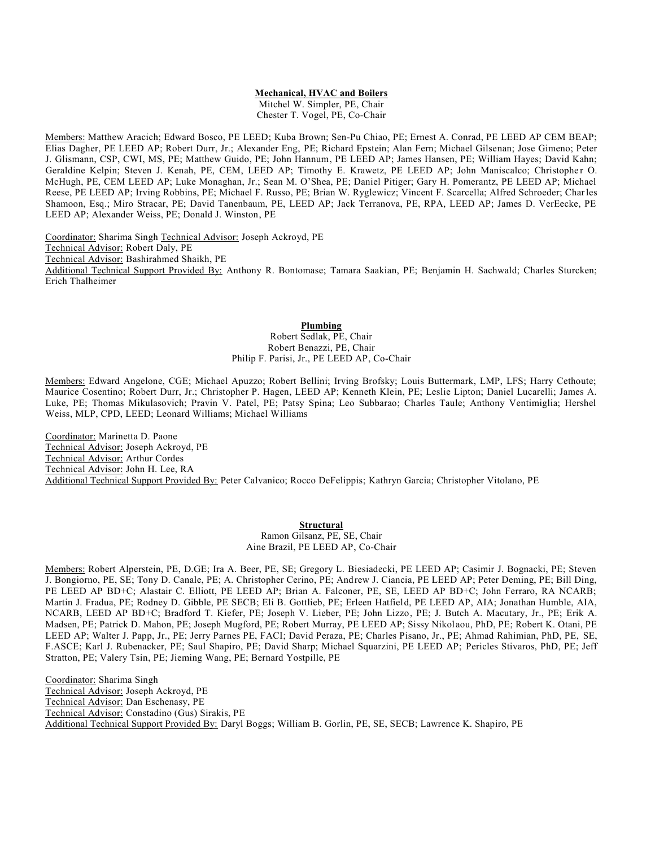#### **Mechanical, HVAC and Boilers**

Mitchel W. Simpler, PE, Chair Chester T. Vogel, PE, Co-Chair

Members: Matthew Aracich; Edward Bosco, PE LEED; Kuba Brown; Sen-Pu Chiao, PE; Ernest A. Conrad, PE LEED AP CEM BEAP; Elias Dagher, PE LEED AP; Robert Durr, Jr.; Alexander Eng, PE; Richard Epstein; Alan Fern; Michael Gilsenan; Jose Gimeno; Peter J. Glismann, CSP, CWI, MS, PE; Matthew Guido, PE; John Hannum, PE LEED AP; James Hansen, PE; William Hayes; David Kahn; Geraldine Kelpin; Steven J. Kenah, PE, CEM, LEED AP; Timothy E. Krawetz, PE LEED AP; John Maniscalco; Christopher O. McHugh, PE, CEM LEED AP; Luke Monaghan, Jr.; Sean M. O'Shea, PE; Daniel Pitiger; Gary H. Pomerantz, PE LEED AP; Michael Reese, PE LEED AP; Irving Robbins, PE; Michael F. Russo, PE; Brian W. Ryglewicz; Vincent F. Scarcella; Alfred Schroeder; Charles Shamoon, Esq.; Miro Stracar, PE; David Tanenbaum, PE, LEED AP; Jack Terranova, PE, RPA, LEED AP; James D. VerEecke, PE LEED AP; Alexander Weiss, PE; Donald J. Winston, PE

Coordinator: Sharima Singh Technical Advisor: Joseph Ackroyd, PE Technical Advisor: Robert Daly, PE Technical Advisor: Bashirahmed Shaikh, PE Additional Technical Support Provided By: Anthony R. Bontomase; Tamara Saakian, PE; Benjamin H. Sachwald; Charles Sturcken; Erich Thalheimer

#### **Plumbing**

Robert Sedlak, PE, Chair Robert Benazzi, PE, Chair Philip F. Parisi, Jr., PE LEED AP, Co-Chair

Members: Edward Angelone, CGE; Michael Apuzzo; Robert Bellini; Irving Brofsky; Louis Buttermark, LMP, LFS; Harry Cethoute; Maurice Cosentino; Robert Durr, Jr.; Christopher P. Hagen, LEED AP; Kenneth Klein, PE; Leslie Lipton; Daniel Lucarelli; James A. Luke, PE; Thomas Mikulasovich; Pravin V. Patel, PE; Patsy Spina; Leo Subbarao; Charles Taule; Anthony Ventimiglia; Hershel Weiss, MLP, CPD, LEED; Leonard Williams; Michael Williams

Coordinator: Marinetta D. Paone Technical Advisor: Joseph Ackroyd, PE Technical Advisor: Arthur Cordes Technical Advisor: John H. Lee, RA Additional Technical Support Provided By: Peter Calvanico; Rocco DeFelippis; Kathryn Garcia; Christopher Vitolano, PE

#### **Structural**

Ramon Gilsanz, PE, SE, Chair Aine Brazil, PE LEED AP, Co-Chair

Members: Robert Alperstein, PE, D.GE; Ira A. Beer, PE, SE; Gregory L. Biesiadecki, PE LEED AP; Casimir J. Bognacki, PE; Steven J. Bongiorno, PE, SE; Tony D. Canale, PE; A. Christopher Cerino, PE; Andrew J. Ciancia, PE LEED AP; Peter Deming, PE; Bill Ding, PE LEED AP BD+C; Alastair C. Elliott, PE LEED AP; Brian A. Falconer, PE, SE, LEED AP BD+C; John Ferraro, RA NCARB; Martin J. Fradua, PE; Rodney D. Gibble, PE SECB; Eli B. Gottlieb, PE; Erleen Hatfield, PE LEED AP, AIA; Jonathan Humble, AIA, NCARB, LEED AP BD+C; Bradford T. Kiefer, PE; Joseph V. Lieber, PE; John Lizzo, PE; J. Butch A. Macutary, Jr., PE; Erik A. Madsen, PE; Patrick D. Mahon, PE; Joseph Mugford, PE; Robert Murray, PE LEED AP; Sissy Nikol aou, PhD, PE; Robert K. Otani, PE LEED AP; Walter J. Papp, Jr., PE; Jerry Parnes PE, FACI; David Peraza, PE; Charles Pisano, Jr., PE; Ahmad Rahimian, PhD, PE, SE, F.ASCE; Karl J. Rubenacker, PE; Saul Shapiro, PE; David Sharp; Michael Squarzini, PE LEED AP; Pericles Stivaros, PhD, PE; Jeff Stratton, PE; Valery Tsin, PE; Jieming Wang, PE; Bernard Yostpille, PE

Coordinator: Sharima Singh Technical Advisor: Joseph Ackroyd, PE Technical Advisor: Dan Eschenasy, PE Technical Advisor: Constadino (Gus) Sirakis, PE Additional Technical Support Provided By: Daryl Boggs; William B. Gorlin, PE, SE, SECB; Lawrence K. Shapiro, PE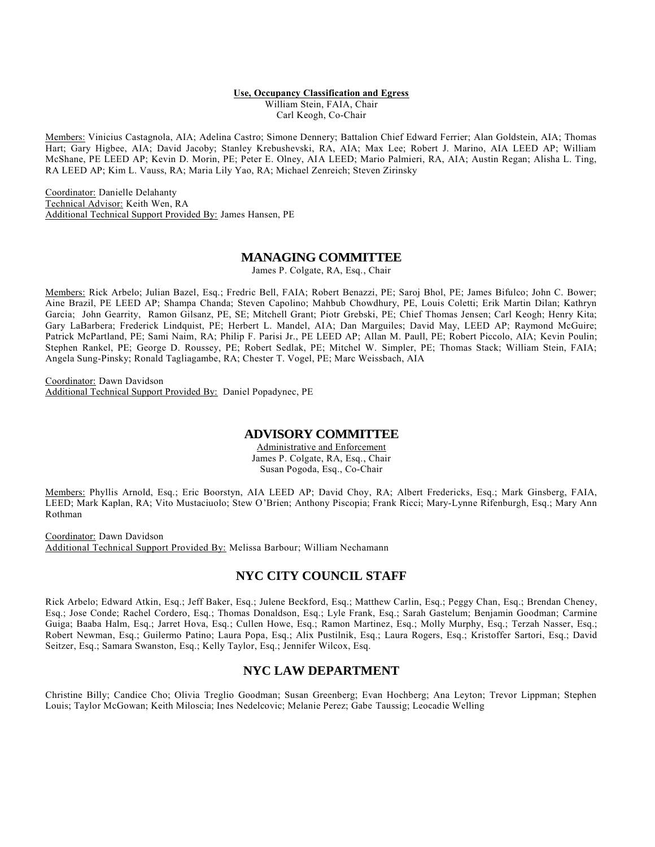#### **Use, Occupancy Classification and Egress**

William Stein, FAIA, Chair Carl Keogh, Co-Chair

Members: Vinicius Castagnola, AIA; Adelina Castro; Simone Dennery; Battalion Chief Edward Ferrier; Alan Goldstein, AIA; Thomas Hart; Gary Higbee, AIA; David Jacoby; Stanley Krebushevski, RA, AIA; Max Lee; Robert J. Marino, AIA LEED AP; William McShane, PE LEED AP; Kevin D. Morin, PE; Peter E. Olney, AIA LEED; Mario Palmieri, RA, AIA; Austin Regan; Alisha L. Ting, RA LEED AP; Kim L. Vauss, RA; Maria Lily Yao, RA; Michael Zenreich; Steven Zirinsky

Coordinator: Danielle Delahanty Technical Advisor: Keith Wen, RA Additional Technical Support Provided By: James Hansen, PE

#### **MANAGING COMMITTEE**

James P. Colgate, RA, Esq., Chair

Members: Rick Arbelo; Julian Bazel, Esq.; Fredric Bell, FAIA; Robert Benazzi, PE; Saroj Bhol, PE; James Bifulco; John C. Bower; Aine Brazil, PE LEED AP; Shampa Chanda; Steven Capolino; Mahbub Chowdhury, PE, Louis Coletti; Erik Martin Dilan; Kathryn Garcia; John Gearrity, Ramon Gilsanz, PE, SE; Mitchell Grant; Piotr Grebski, PE; Chief Thomas Jensen; Carl Keogh; Henry Kita; Gary LaBarbera; Frederick Lindquist, PE; Herbert L. Mandel, AIA; Dan Marguiles; David May, LEED AP; Raymond McGuire; Patrick McPartland, PE; Sami Naim, RA; Philip F. Parisi Jr., PE LEED AP; Allan M. Paull, PE; Robert Piccolo, AIA; Kevin Poulin; Stephen Rankel, PE; George D. Roussey, PE; Robert Sedlak, PE; Mitchel W. Simpler, PE; Thomas Stack; William Stein, FAIA; Angela Sung-Pinsky; Ronald Tagliagambe, RA; Chester T. Vogel, PE; Marc Weissbach, AIA

Coordinator: Dawn Davidson Additional Technical Support Provided By: Daniel Popadynec, PE

# **ADVISORY COMMITTEE**

Administrative and Enforcement James P. Colgate, RA, Esq., Chair Susan Pogoda, Esq., Co-Chair

Members: Phyllis Arnold, Esq.; Eric Boorstyn, AIA LEED AP; David Choy, RA; Albert Fredericks, Esq.; Mark Ginsberg, FAIA, LEED; Mark Kaplan, RA; Vito Mustaciuolo; Stew O'Brien; Anthony Piscopia; Frank Ricci; Mary-Lynne Rifenburgh, Esq.; Mary Ann Rothman

Coordinator: Dawn Davidson Additional Technical Support Provided By: Melissa Barbour; William Nechamann

# **NYC CITY COUNCIL STAFF**

Rick Arbelo; Edward Atkin, Esq.; Jeff Baker, Esq.; Julene Beckford, Esq.; Matthew Carlin, Esq.; Peggy Chan, Esq.; Brendan Cheney, Esq.; Jose Conde; Rachel Cordero, Esq.; Thomas Donaldson, Esq.; Lyle Frank, Esq.; Sarah Gastelum; Benjamin Goodman; Carmine Guiga; Baaba Halm, Esq.; Jarret Hova, Esq.; Cullen Howe, Esq.; Ramon Martinez, Esq.; Molly Murphy, Esq.; Terzah Nasser, Esq.; Robert Newman, Esq.; Guilermo Patino; Laura Popa, Esq.; Alix Pustilnik, Esq.; Laura Rogers, Esq.; Kristoffer Sartori, Esq.; David Seitzer, Esq.; Samara Swanston, Esq.; Kelly Taylor, Esq.; Jennifer Wilcox, Esq.

# **NYC LAW DEPARTMENT**

Christine Billy; Candice Cho; Olivia Treglio Goodman; Susan Greenberg; Evan Hochberg; Ana Leyton; Trevor Lippman; Stephen Louis; Taylor McGowan; Keith Miloscia; Ines Nedelcovic; Melanie Perez; Gabe Taussig; Leocadie Welling